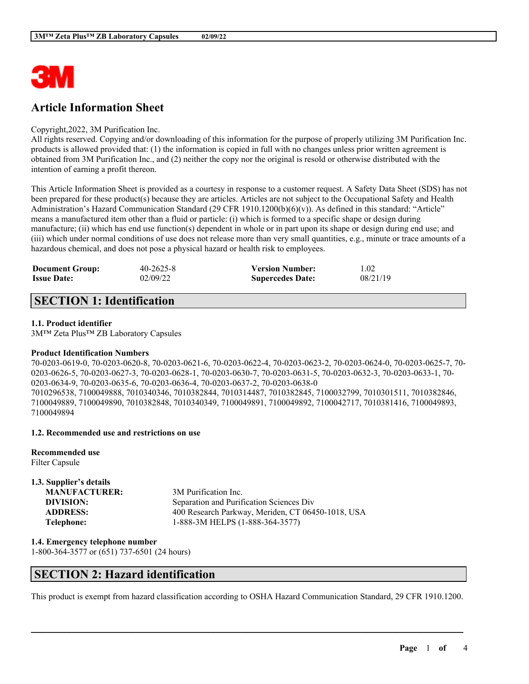

# **Article Information Sheet**

#### Copyright,2022, 3M Purification Inc.

All rights reserved. Copying and/or downloading of this information for the purpose of properly utilizing 3M Purification Inc. products is allowed provided that: (1) the information is copied in full with no changes unless prior written agreement is obtained from 3M Purification Inc., and (2) neither the copy nor the original is resold or otherwise distributed with the intention of earning a profit thereon.

This Article Information Sheet is provided as a courtesy in response to a customer request. A Safety Data Sheet (SDS) has not been prepared for these product(s) because they are articles. Articles are not subject to the Occupational Safety and Health Administration's Hazard Communication Standard (29 CFR 1910.1200(b)(6)(v)). As defined in this standard: "Article" means a manufactured item other than a fluid or particle: (i) which is formed to a specific shape or design during manufacture; (ii) which has end use function(s) dependent in whole or in part upon its shape or design during end use; and (iii) which under normal conditions of use does not release more than very small quantities, e.g., minute or trace amounts of a hazardous chemical, and does not pose a physical hazard or health risk to employees.

| <b>Document Group:</b> | $40 - 2625 - 8$ | <b>Version Number:</b>  | 1.02     |
|------------------------|-----------------|-------------------------|----------|
| <b>Issue Date:</b>     | 02/09/22        | <b>Supercedes Date:</b> | 08/21/19 |

# **SECTION 1: Identification**

#### **1.1. Product identifier**

3M™ Zeta Plus™ ZB Laboratory Capsules

#### **Product Identification Numbers**

70-0203-0619-0, 70-0203-0620-8, 70-0203-0621-6, 70-0203-0622-4, 70-0203-0623-2, 70-0203-0624-0, 70-0203-0625-7, 70- 0203-0626-5, 70-0203-0627-3, 70-0203-0628-1, 70-0203-0630-7, 70-0203-0631-5, 70-0203-0632-3, 70-0203-0633-1, 70- 0203-0634-9, 70-0203-0635-6, 70-0203-0636-4, 70-0203-0637-2, 70-0203-0638-0 7010296538, 7100049888, 7010340346, 7010382844, 7010314487, 7010382845, 7100032799, 7010301511, 7010382846, 7100049889, 7100049890, 7010382848, 7010340349, 7100049891, 7100049892, 7100042717, 7010381416, 7100049893, 7100049894

#### **1.2. Recommended use and restrictions on use**

**Recommended use** Filter Capsule

| 1.3. Supplier's details |                                                   |
|-------------------------|---------------------------------------------------|
| <b>MANUFACTURER:</b>    | 3M Purification Inc.                              |
| DIVISION:               | Separation and Purification Sciences Div          |
| <b>ADDRESS:</b>         | 400 Research Parkway, Meriden, CT 06450-1018, USA |
| Telephone:              | 1-888-3M HELPS (1-888-364-3577)                   |

**1.4. Emergency telephone number** 1-800-364-3577 or (651) 737-6501 (24 hours)

### **SECTION 2: Hazard identification**

This product is exempt from hazard classification according to OSHA Hazard Communication Standard, 29 CFR 1910.1200.

 $\mathcal{L}_\mathcal{L} = \mathcal{L}_\mathcal{L} = \mathcal{L}_\mathcal{L} = \mathcal{L}_\mathcal{L} = \mathcal{L}_\mathcal{L} = \mathcal{L}_\mathcal{L} = \mathcal{L}_\mathcal{L} = \mathcal{L}_\mathcal{L} = \mathcal{L}_\mathcal{L} = \mathcal{L}_\mathcal{L} = \mathcal{L}_\mathcal{L} = \mathcal{L}_\mathcal{L} = \mathcal{L}_\mathcal{L} = \mathcal{L}_\mathcal{L} = \mathcal{L}_\mathcal{L} = \mathcal{L}_\mathcal{L} = \mathcal{L}_\mathcal{L}$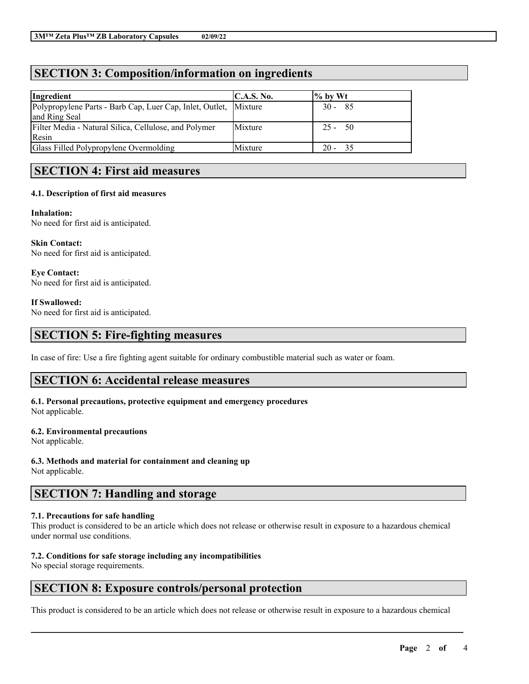# **SECTION 3: Composition/information on ingredients**

| Ingredient                                                       | C.A.S. No. | $\%$ by Wt |
|------------------------------------------------------------------|------------|------------|
| Polypropylene Parts - Barb Cap, Luer Cap, Inlet, Outlet, Mixture |            | $30 - 85$  |
| and Ring Seal                                                    |            |            |
| Filter Media - Natural Silica, Cellulose, and Polymer            | Mixture    | $25 - 50$  |
| Resin                                                            |            |            |
| Glass Filled Polypropylene Overmolding                           | Mixture    | $20 - 35$  |

# **SECTION 4: First aid measures**

### **4.1. Description of first aid measures**

#### **Inhalation:**

No need for first aid is anticipated.

**Skin Contact:** No need for first aid is anticipated.

**Eye Contact:** No need for first aid is anticipated.

#### **If Swallowed:**

No need for first aid is anticipated.

## **SECTION 5: Fire-fighting measures**

In case of fire: Use a fire fighting agent suitable for ordinary combustible material such as water or foam.

### **SECTION 6: Accidental release measures**

### **6.1. Personal precautions, protective equipment and emergency procedures**

Not applicable.

### **6.2. Environmental precautions**

Not applicable.

### **6.3. Methods and material for containment and cleaning up**

Not applicable.

# **SECTION 7: Handling and storage**

### **7.1. Precautions for safe handling**

This product is considered to be an article which does not release or otherwise result in exposure to a hazardous chemical under normal use conditions.

### **7.2. Conditions for safe storage including any incompatibilities**

No special storage requirements.

### **SECTION 8: Exposure controls/personal protection**

This product is considered to be an article which does not release or otherwise result in exposure to a hazardous chemical

 $\mathcal{L}_\mathcal{L} = \mathcal{L}_\mathcal{L} = \mathcal{L}_\mathcal{L} = \mathcal{L}_\mathcal{L} = \mathcal{L}_\mathcal{L} = \mathcal{L}_\mathcal{L} = \mathcal{L}_\mathcal{L} = \mathcal{L}_\mathcal{L} = \mathcal{L}_\mathcal{L} = \mathcal{L}_\mathcal{L} = \mathcal{L}_\mathcal{L} = \mathcal{L}_\mathcal{L} = \mathcal{L}_\mathcal{L} = \mathcal{L}_\mathcal{L} = \mathcal{L}_\mathcal{L} = \mathcal{L}_\mathcal{L} = \mathcal{L}_\mathcal{L}$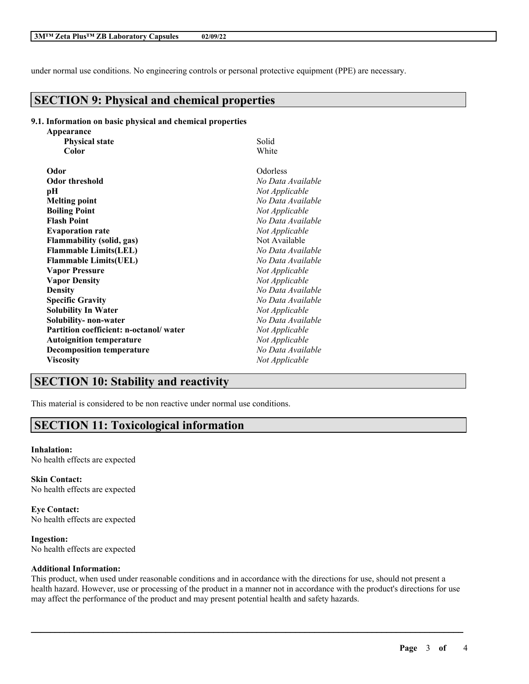under normal use conditions. No engineering controls or personal protective equipment (PPE) are necessary.

# **SECTION 9: Physical and chemical properties**

### **9.1. Information on basic physical and chemical properties**

| Appearance                             |                   |  |
|----------------------------------------|-------------------|--|
| <b>Physical state</b>                  | Solid             |  |
| Color                                  | White             |  |
| Odor                                   | Odorless          |  |
| <b>Odor threshold</b>                  | No Data Available |  |
| pН                                     | Not Applicable    |  |
| <b>Melting point</b>                   | No Data Available |  |
| <b>Boiling Point</b>                   | Not Applicable    |  |
| <b>Flash Point</b>                     | No Data Available |  |
| <b>Evaporation rate</b>                | Not Applicable    |  |
| <b>Flammability (solid, gas)</b>       | Not Available     |  |
| <b>Flammable Limits(LEL)</b>           | No Data Available |  |
| <b>Flammable Limits(UEL)</b>           | No Data Available |  |
| <b>Vapor Pressure</b>                  | Not Applicable    |  |
| <b>Vapor Density</b>                   | Not Applicable    |  |
| <b>Density</b>                         | No Data Available |  |
| <b>Specific Gravity</b>                | No Data Available |  |
| <b>Solubility In Water</b>             | Not Applicable    |  |
| Solubility- non-water                  | No Data Available |  |
| Partition coefficient: n-octanol/water | Not Applicable    |  |
| <b>Autoignition temperature</b>        | Not Applicable    |  |
| <b>Decomposition temperature</b>       | No Data Available |  |
| <b>Viscosity</b>                       | Not Applicable    |  |

# **SECTION 10: Stability and reactivity**

This material is considered to be non reactive under normal use conditions.

# **SECTION 11: Toxicological information**

**Inhalation:** No health effects are expected

**Skin Contact:** No health effects are expected

**Eye Contact:** No health effects are expected

**Ingestion:** No health effects are expected

#### **Additional Information:**

This product, when used under reasonable conditions and in accordance with the directions for use, should not present a health hazard. However, use or processing of the product in a manner not in accordance with the product's directions for use may affect the performance of the product and may present potential health and safety hazards.

 $\mathcal{L}_\mathcal{L} = \mathcal{L}_\mathcal{L} = \mathcal{L}_\mathcal{L} = \mathcal{L}_\mathcal{L} = \mathcal{L}_\mathcal{L} = \mathcal{L}_\mathcal{L} = \mathcal{L}_\mathcal{L} = \mathcal{L}_\mathcal{L} = \mathcal{L}_\mathcal{L} = \mathcal{L}_\mathcal{L} = \mathcal{L}_\mathcal{L} = \mathcal{L}_\mathcal{L} = \mathcal{L}_\mathcal{L} = \mathcal{L}_\mathcal{L} = \mathcal{L}_\mathcal{L} = \mathcal{L}_\mathcal{L} = \mathcal{L}_\mathcal{L}$